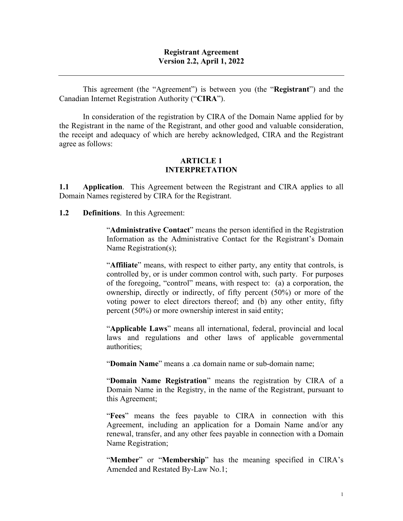#### **Registrant Agreement Version 2.2, April 1, 2022**

This agreement (the "Agreement") is between you (the "**Registrant**") and the Canadian Internet Registration Authority ("**CIRA**").

In consideration of the registration by CIRA of the Domain Name applied for by the Registrant in the name of the Registrant, and other good and valuable consideration, the receipt and adequacy of which are hereby acknowledged, CIRA and the Registrant agree as follows:

#### **ARTICLE 1 INTERPRETATION**

**1.1 Application**. This Agreement between the Registrant and CIRA applies to all Domain Names registered by CIRA for the Registrant.

**1.2 Definitions**. In this Agreement:

"**Administrative Contact**" means the person identified in the Registration Information as the Administrative Contact for the Registrant's Domain Name Registration(s);

"**Affiliate**" means, with respect to either party, any entity that controls, is controlled by, or is under common control with, such party. For purposes of the foregoing, "control" means, with respect to: (a) a corporation, the ownership, directly or indirectly, of fifty percent (50%) or more of the voting power to elect directors thereof; and (b) any other entity, fifty percent (50%) or more ownership interest in said entity;

"**Applicable Laws**" means all international, federal, provincial and local laws and regulations and other laws of applicable governmental authorities;

"**Domain Name**" means a .ca domain name or sub-domain name;

"**Domain Name Registration**" means the registration by CIRA of a Domain Name in the Registry, in the name of the Registrant, pursuant to this Agreement;

"**Fees**" means the fees payable to CIRA in connection with this Agreement, including an application for a Domain Name and/or any renewal, transfer, and any other fees payable in connection with a Domain Name Registration;

"**Member**" or "**Membership**" has the meaning specified in CIRA's Amended and Restated By-Law No.1;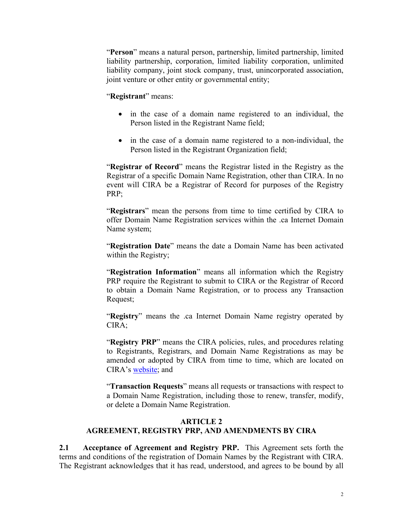"**Person**" means a natural person, partnership, limited partnership, limited liability partnership, corporation, limited liability corporation, unlimited liability company, joint stock company, trust, unincorporated association, joint venture or other entity or governmental entity;

#### "**Registrant**" means:

- in the case of a domain name registered to an individual, the Person listed in the Registrant Name field;
- in the case of a domain name registered to a non-individual, the Person listed in the Registrant Organization field;

"**Registrar of Record**" means the Registrar listed in the Registry as the Registrar of a specific Domain Name Registration, other than CIRA. In no event will CIRA be a Registrar of Record for purposes of the Registry PRP;

"**Registrars**" mean the persons from time to time certified by CIRA to offer Domain Name Registration services within the .ca Internet Domain Name system;

"**Registration Date**" means the date a Domain Name has been activated within the Registry;

"**Registration Information**" means all information which the Registry PRP require the Registrant to submit to CIRA or the Registrar of Record to obtain a Domain Name Registration, or to process any Transaction Request;

"**Registry**" means the .ca Internet Domain Name registry operated by CIRA;

"**Registry PRP**" means the CIRA policies, rules, and procedures relating to Registrants, Registrars, and Domain Name Registrations as may be amended or adopted by CIRA from time to time, which are located on CIRA's website; and

"**Transaction Requests**" means all requests or transactions with respect to a Domain Name Registration, including those to renew, transfer, modify, or delete a Domain Name Registration.

### **ARTICLE 2 AGREEMENT, REGISTRY PRP, AND AMENDMENTS BY CIRA**

**2.1 Acceptance of Agreement and Registry PRP.** This Agreement sets forth the terms and conditions of the registration of Domain Names by the Registrant with CIRA. The Registrant acknowledges that it has read, understood, and agrees to be bound by all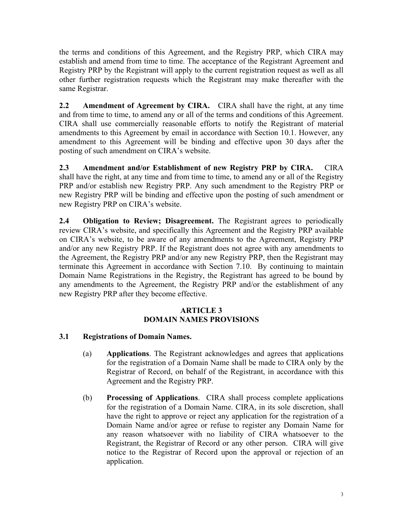the terms and conditions of this Agreement, and the Registry PRP, which CIRA may establish and amend from time to time. The acceptance of the Registrant Agreement and Registry PRP by the Registrant will apply to the current registration request as well as all other further registration requests which the Registrant may make thereafter with the same Registrar.

**2.2 Amendment of Agreement by CIRA.** CIRA shall have the right, at any time and from time to time, to amend any or all of the terms and conditions of this Agreement. CIRA shall use commercially reasonable efforts to notify the Registrant of material amendments to this Agreement by email in accordance with Section 10.1. However, any amendment to this Agreement will be binding and effective upon 30 days after the posting of such amendment on CIRA's website.

**2.3 Amendment and/or Establishment of new Registry PRP by CIRA.** CIRA shall have the right, at any time and from time to time, to amend any or all of the Registry PRP and/or establish new Registry PRP. Any such amendment to the Registry PRP or new Registry PRP will be binding and effective upon the posting of such amendment or new Registry PRP on CIRA's website.

**2.4 Obligation to Review; Disagreement.** The Registrant agrees to periodically review CIRA's website, and specifically this Agreement and the Registry PRP available on CIRA's website, to be aware of any amendments to the Agreement, Registry PRP and/or any new Registry PRP. If the Registrant does not agree with any amendments to the Agreement, the Registry PRP and/or any new Registry PRP, then the Registrant may terminate this Agreement in accordance with Section 7.10. By continuing to maintain Domain Name Registrations in the Registry, the Registrant has agreed to be bound by any amendments to the Agreement, the Registry PRP and/or the establishment of any new Registry PRP after they become effective.

#### **ARTICLE 3 DOMAIN NAMES PROVISIONS**

### **3.1 Registrations of Domain Names.**

- (a) **Applications**. The Registrant acknowledges and agrees that applications for the registration of a Domain Name shall be made to CIRA only by the Registrar of Record, on behalf of the Registrant, in accordance with this Agreement and the Registry PRP.
- (b) **Processing of Applications**. CIRA shall process complete applications for the registration of a Domain Name. CIRA, in its sole discretion, shall have the right to approve or reject any application for the registration of a Domain Name and/or agree or refuse to register any Domain Name for any reason whatsoever with no liability of CIRA whatsoever to the Registrant, the Registrar of Record or any other person. CIRA will give notice to the Registrar of Record upon the approval or rejection of an application.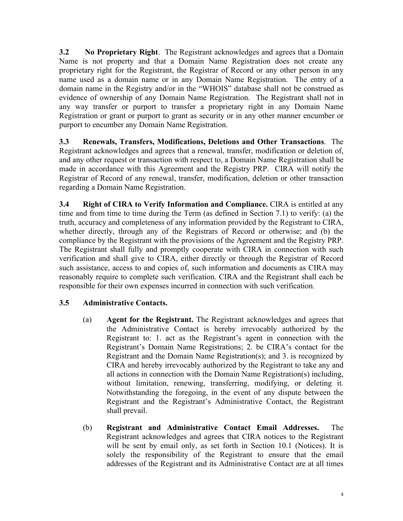**3.2 No Proprietary Right**. The Registrant acknowledges and agrees that a Domain Name is not property and that a Domain Name Registration does not create any proprietary right for the Registrant, the Registrar of Record or any other person in any name used as a domain name or in any Domain Name Registration. The entry of a domain name in the Registry and/or in the "WHOIS" database shall not be construed as evidence of ownership of any Domain Name Registration. The Registrant shall not in any way transfer or purport to transfer a proprietary right in any Domain Name Registration or grant or purport to grant as security or in any other manner encumber or purport to encumber any Domain Name Registration.

**3.3 Renewals, Transfers, Modifications, Deletions and Other Transactions**. The Registrant acknowledges and agrees that a renewal, transfer, modification or deletion of, and any other request or transaction with respect to, a Domain Name Registration shall be made in accordance with this Agreement and the Registry PRP. CIRA will notify the Registrar of Record of any renewal, transfer, modification, deletion or other transaction regarding a Domain Name Registration.

**3.4 Right of CIRA to Verify Information and Compliance.** CIRA is entitled at any time and from time to time during the Term (as defined in Section 7.1) to verify: (a) the truth, accuracy and completeness of any information provided by the Registrant to CIRA, whether directly, through any of the Registrars of Record or otherwise; and (b) the compliance by the Registrant with the provisions of the Agreement and the Registry PRP. The Registrant shall fully and promptly cooperate with CIRA in connection with such verification and shall give to CIRA, either directly or through the Registrar of Record such assistance, access to and copies of, such information and documents as CIRA may reasonably require to complete such verification. CIRA and the Registrant shall each be responsible for their own expenses incurred in connection with such verification.

# **3.5 Administrative Contacts.**

- (a) **Agent for the Registrant.** The Registrant acknowledges and agrees that the Administrative Contact is hereby irrevocably authorized by the Registrant to: 1. act as the Registrant's agent in connection with the Registrant's Domain Name Registrations; 2. be CIRA's contact for the Registrant and the Domain Name Registration(s); and 3. is recognized by CIRA and hereby irrevocably authorized by the Registrant to take any and all actions in connection with the Domain Name Registration(s) including, without limitation, renewing, transferring, modifying, or deleting it. Notwithstanding the foregoing, in the event of any dispute between the Registrant and the Registrant's Administrative Contact, the Registrant shall prevail.
- (b) **Registrant and Administrative Contact Email Addresses.** The Registrant acknowledges and agrees that CIRA notices to the Registrant will be sent by email only, as set forth in Section 10.1 (Notices). It is solely the responsibility of the Registrant to ensure that the email addresses of the Registrant and its Administrative Contact are at all times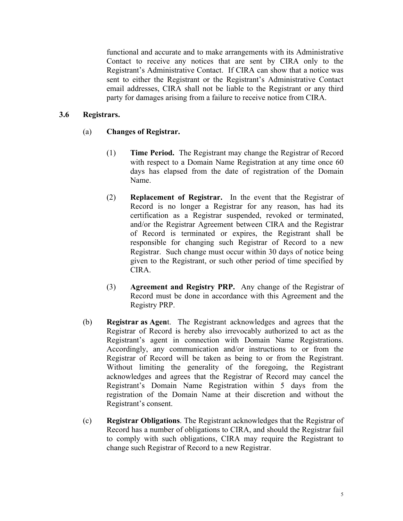functional and accurate and to make arrangements with its Administrative Contact to receive any notices that are sent by CIRA only to the Registrant's Administrative Contact. If CIRA can show that a notice was sent to either the Registrant or the Registrant's Administrative Contact email addresses, CIRA shall not be liable to the Registrant or any third party for damages arising from a failure to receive notice from CIRA.

#### **3.6 Registrars.**

- (a) **Changes of Registrar.** 
	- (1) **Time Period.** The Registrant may change the Registrar of Record with respect to a Domain Name Registration at any time once 60 days has elapsed from the date of registration of the Domain Name.
	- (2) **Replacement of Registrar.** In the event that the Registrar of Record is no longer a Registrar for any reason, has had its certification as a Registrar suspended, revoked or terminated, and/or the Registrar Agreement between CIRA and the Registrar of Record is terminated or expires, the Registrant shall be responsible for changing such Registrar of Record to a new Registrar. Such change must occur within 30 days of notice being given to the Registrant, or such other period of time specified by CIRA.
	- (3) **Agreement and Registry PRP.** Any change of the Registrar of Record must be done in accordance with this Agreement and the Registry PRP.
- (b) **Registrar as Agen**t. The Registrant acknowledges and agrees that the Registrar of Record is hereby also irrevocably authorized to act as the Registrant's agent in connection with Domain Name Registrations. Accordingly, any communication and/or instructions to or from the Registrar of Record will be taken as being to or from the Registrant. Without limiting the generality of the foregoing, the Registrant acknowledges and agrees that the Registrar of Record may cancel the Registrant's Domain Name Registration within 5 days from the registration of the Domain Name at their discretion and without the Registrant's consent.
- (c) **Registrar Obligations**. The Registrant acknowledges that the Registrar of Record has a number of obligations to CIRA, and should the Registrar fail to comply with such obligations, CIRA may require the Registrant to change such Registrar of Record to a new Registrar.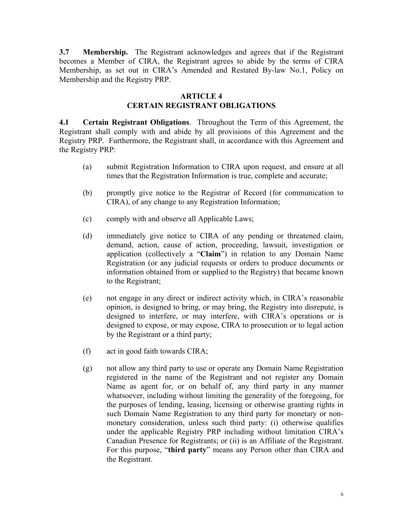**3.7 Membership.** The Registrant acknowledges and agrees that if the Registrant becomes a Member of CIRA, the Registrant agrees to abide by the terms of CIRA Membership, as set out in CIRA's Amended and Restated By-law No.1, Policy on Membership and the Registry PRP.

#### **ARTICLE 4 CERTAIN REGISTRANT OBLIGATIONS**

**4.1 Certain Registrant Obligations**. Throughout the Term of this Agreement, the Registrant shall comply with and abide by all provisions of this Agreement and the Registry PRP. Furthermore, the Registrant shall, in accordance with this Agreement and the Registry PRP:

- (a) submit Registration Information to CIRA upon request, and ensure at all times that the Registration Information is true, complete and accurate;
- (b) promptly give notice to the Registrar of Record (for communication to CIRA), of any change to any Registration Information;
- (c) comply with and observe all Applicable Laws;
- (d) immediately give notice to CIRA of any pending or threatened claim, demand, action, cause of action, proceeding, lawsuit, investigation or application (collectively a "**Claim**") in relation to any Domain Name Registration (or any judicial requests or orders to produce documents or information obtained from or supplied to the Registry) that became known to the Registrant;
- (e) not engage in any direct or indirect activity which, in CIRA's reasonable opinion, is designed to bring, or may bring, the Registry into disrepute, is designed to interfere, or may interfere, with CIRA's operations or is designed to expose, or may expose, CIRA to prosecution or to legal action by the Registrant or a third party;
- (f) act in good faith towards CIRA;
- (g) not allow any third party to use or operate any Domain Name Registration registered in the name of the Registrant and not register any Domain Name as agent for, or on behalf of, any third party in any manner whatsoever, including without limiting the generality of the foregoing, for the purposes of lending, leasing, licensing or otherwise granting rights in such Domain Name Registration to any third party for monetary or nonmonetary consideration, unless such third party: (i) otherwise qualifies under the applicable Registry PRP including without limitation CIRA's Canadian Presence for Registrants; or (ii) is an Affiliate of the Registrant. For this purpose, "**third party**" means any Person other than CIRA and the Registrant.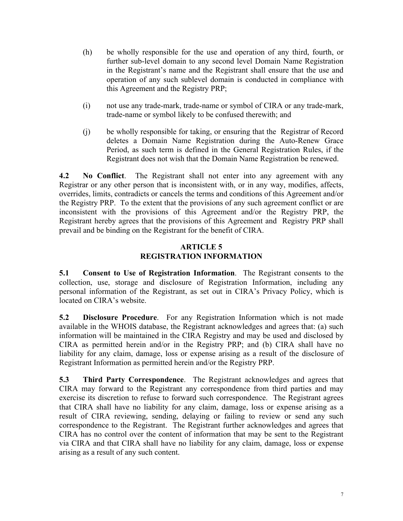- (h) be wholly responsible for the use and operation of any third, fourth, or further sub-level domain to any second level Domain Name Registration in the Registrant's name and the Registrant shall ensure that the use and operation of any such sublevel domain is conducted in compliance with this Agreement and the Registry PRP;
- (i) not use any trade-mark, trade-name or symbol of CIRA or any trade-mark, trade-name or symbol likely to be confused therewith; and
- (j) be wholly responsible for taking, or ensuring that the Registrar of Record deletes a Domain Name Registration during the Auto-Renew Grace Period, as such term is defined in the General Registration Rules, if the Registrant does not wish that the Domain Name Registration be renewed.

**4.2 No Conflict**. The Registrant shall not enter into any agreement with any Registrar or any other person that is inconsistent with, or in any way, modifies, affects, overrides, limits, contradicts or cancels the terms and conditions of this Agreement and/or the Registry PRP. To the extent that the provisions of any such agreement conflict or are inconsistent with the provisions of this Agreement and/or the Registry PRP, the Registrant hereby agrees that the provisions of this Agreement and Registry PRP shall prevail and be binding on the Registrant for the benefit of CIRA.

### **ARTICLE 5 REGISTRATION INFORMATION**

**5.1 Consent to Use of Registration Information**. The Registrant consents to the collection, use, storage and disclosure of Registration Information, including any personal information of the Registrant, as set out in CIRA's Privacy Policy, which is located on CIRA's website.

**5.2 Disclosure Procedure**. For any Registration Information which is not made available in the WHOIS database, the Registrant acknowledges and agrees that: (a) such information will be maintained in the CIRA Registry and may be used and disclosed by CIRA as permitted herein and/or in the Registry PRP; and (b) CIRA shall have no liability for any claim, damage, loss or expense arising as a result of the disclosure of Registrant Information as permitted herein and/or the Registry PRP.

**5.3 Third Party Correspondence**. The Registrant acknowledges and agrees that CIRA may forward to the Registrant any correspondence from third parties and may exercise its discretion to refuse to forward such correspondence. The Registrant agrees that CIRA shall have no liability for any claim, damage, loss or expense arising as a result of CIRA reviewing, sending, delaying or failing to review or send any such correspondence to the Registrant. The Registrant further acknowledges and agrees that CIRA has no control over the content of information that may be sent to the Registrant via CIRA and that CIRA shall have no liability for any claim, damage, loss or expense arising as a result of any such content.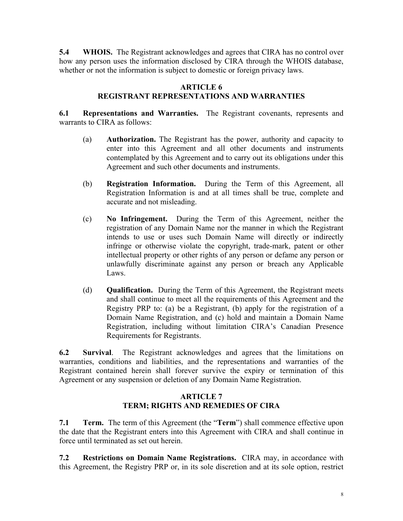**5.4 WHOIS.** The Registrant acknowledges and agrees that CIRA has no control over how any person uses the information disclosed by CIRA through the WHOIS database, whether or not the information is subject to domestic or foreign privacy laws.

### **ARTICLE 6**

## **REGISTRANT REPRESENTATIONS AND WARRANTIES**

**6.1 Representations and Warranties.** The Registrant covenants, represents and warrants to CIRA as follows:

- (a) **Authorization.** The Registrant has the power, authority and capacity to enter into this Agreement and all other documents and instruments contemplated by this Agreement and to carry out its obligations under this Agreement and such other documents and instruments.
- (b) **Registration Information.** During the Term of this Agreement, all Registration Information is and at all times shall be true, complete and accurate and not misleading.
- (c) **No Infringement.** During the Term of this Agreement, neither the registration of any Domain Name nor the manner in which the Registrant intends to use or uses such Domain Name will directly or indirectly infringe or otherwise violate the copyright, trade-mark, patent or other intellectual property or other rights of any person or defame any person or unlawfully discriminate against any person or breach any Applicable Laws.
- (d) **Qualification.** During the Term of this Agreement, the Registrant meets and shall continue to meet all the requirements of this Agreement and the Registry PRP to: (a) be a Registrant, (b) apply for the registration of a Domain Name Registration, and (c) hold and maintain a Domain Name Registration, including without limitation CIRA's Canadian Presence Requirements for Registrants.

**6.2 Survival**. The Registrant acknowledges and agrees that the limitations on warranties, conditions and liabilities, and the representations and warranties of the Registrant contained herein shall forever survive the expiry or termination of this Agreement or any suspension or deletion of any Domain Name Registration.

### **ARTICLE 7 TERM; RIGHTS AND REMEDIES OF CIRA**

**7.1 Term.** The term of this Agreement (the "**Term**") shall commence effective upon the date that the Registrant enters into this Agreement with CIRA and shall continue in force until terminated as set out herein.

**7.2 Restrictions on Domain Name Registrations.** CIRA may, in accordance with this Agreement, the Registry PRP or, in its sole discretion and at its sole option, restrict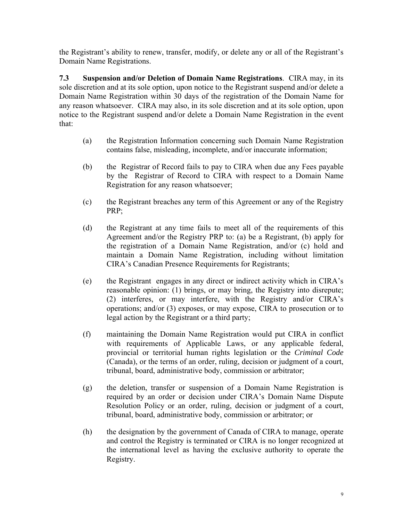the Registrant's ability to renew, transfer, modify, or delete any or all of the Registrant's Domain Name Registrations.

**7.3 Suspension and/or Deletion of Domain Name Registrations**. CIRA may, in its sole discretion and at its sole option, upon notice to the Registrant suspend and/or delete a Domain Name Registration within 30 days of the registration of the Domain Name for any reason whatsoever. CIRA may also, in its sole discretion and at its sole option, upon notice to the Registrant suspend and/or delete a Domain Name Registration in the event that:

- (a) the Registration Information concerning such Domain Name Registration contains false, misleading, incomplete, and/or inaccurate information;
- (b) the Registrar of Record fails to pay to CIRA when due any Fees payable by the Registrar of Record to CIRA with respect to a Domain Name Registration for any reason whatsoever;
- (c) the Registrant breaches any term of this Agreement or any of the Registry PRP;
- (d) the Registrant at any time fails to meet all of the requirements of this Agreement and/or the Registry PRP to: (a) be a Registrant, (b) apply for the registration of a Domain Name Registration, and/or (c) hold and maintain a Domain Name Registration, including without limitation CIRA's Canadian Presence Requirements for Registrants;
- (e) the Registrant engages in any direct or indirect activity which in CIRA's reasonable opinion: (1) brings, or may bring, the Registry into disrepute; (2) interferes, or may interfere, with the Registry and/or CIRA's operations; and/or (3) exposes, or may expose, CIRA to prosecution or to legal action by the Registrant or a third party;
- (f) maintaining the Domain Name Registration would put CIRA in conflict with requirements of Applicable Laws, or any applicable federal, provincial or territorial human rights legislation or the *Criminal Code*  (Canada), or the terms of an order, ruling, decision or judgment of a court, tribunal, board, administrative body, commission or arbitrator;
- (g) the deletion, transfer or suspension of a Domain Name Registration is required by an order or decision under CIRA's Domain Name Dispute Resolution Policy or an order, ruling, decision or judgment of a court, tribunal, board, administrative body, commission or arbitrator; or
- (h) the designation by the government of Canada of CIRA to manage, operate and control the Registry is terminated or CIRA is no longer recognized at the international level as having the exclusive authority to operate the Registry.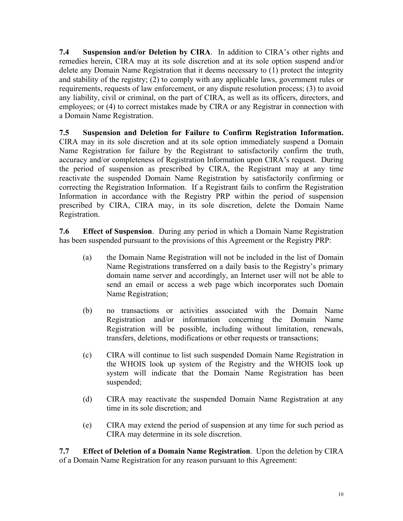**7.4 Suspension and/or Deletion by CIRA**. In addition to CIRA's other rights and remedies herein, CIRA may at its sole discretion and at its sole option suspend and/or delete any Domain Name Registration that it deems necessary to (1) protect the integrity and stability of the registry; (2) to comply with any applicable laws, government rules or requirements, requests of law enforcement, or any dispute resolution process; (3) to avoid any liability, civil or criminal, on the part of CIRA, as well as its officers, directors, and employees; or (4) to correct mistakes made by CIRA or any Registrar in connection with a Domain Name Registration.

**7.5 Suspension and Deletion for Failure to Confirm Registration Information.** CIRA may in its sole discretion and at its sole option immediately suspend a Domain Name Registration for failure by the Registrant to satisfactorily confirm the truth, accuracy and/or completeness of Registration Information upon CIRA's request. During the period of suspension as prescribed by CIRA, the Registrant may at any time reactivate the suspended Domain Name Registration by satisfactorily confirming or correcting the Registration Information. If a Registrant fails to confirm the Registration Information in accordance with the Registry PRP within the period of suspension prescribed by CIRA, CIRA may, in its sole discretion, delete the Domain Name Registration.

**7.6 Effect of Suspension**. During any period in which a Domain Name Registration has been suspended pursuant to the provisions of this Agreement or the Registry PRP:

- (a) the Domain Name Registration will not be included in the list of Domain Name Registrations transferred on a daily basis to the Registry's primary domain name server and accordingly, an Internet user will not be able to send an email or access a web page which incorporates such Domain Name Registration;
- (b) no transactions or activities associated with the Domain Name Registration and/or information concerning the Domain Name Registration will be possible, including without limitation, renewals, transfers, deletions, modifications or other requests or transactions;
- (c) CIRA will continue to list such suspended Domain Name Registration in the WHOIS look up system of the Registry and the WHOIS look up system will indicate that the Domain Name Registration has been suspended;
- (d) CIRA may reactivate the suspended Domain Name Registration at any time in its sole discretion; and
- (e) CIRA may extend the period of suspension at any time for such period as CIRA may determine in its sole discretion.

**7.7 Effect of Deletion of a Domain Name Registration**. Upon the deletion by CIRA of a Domain Name Registration for any reason pursuant to this Agreement: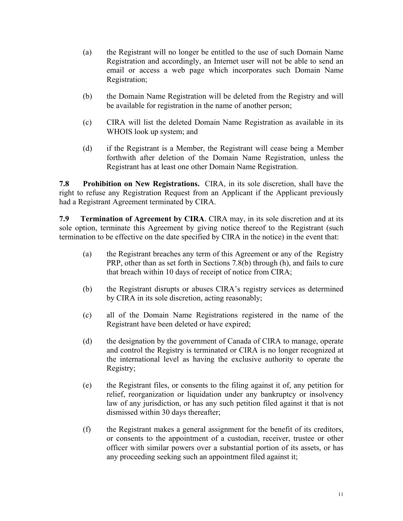- (a) the Registrant will no longer be entitled to the use of such Domain Name Registration and accordingly, an Internet user will not be able to send an email or access a web page which incorporates such Domain Name Registration;
- (b) the Domain Name Registration will be deleted from the Registry and will be available for registration in the name of another person;
- (c) CIRA will list the deleted Domain Name Registration as available in its WHOIS look up system; and
- (d) if the Registrant is a Member, the Registrant will cease being a Member forthwith after deletion of the Domain Name Registration, unless the Registrant has at least one other Domain Name Registration.

**7.8 Prohibition on New Registrations.** CIRA, in its sole discretion, shall have the right to refuse any Registration Request from an Applicant if the Applicant previously had a Registrant Agreement terminated by CIRA.

**7.9 Termination of Agreement by CIRA**. CIRA may, in its sole discretion and at its sole option, terminate this Agreement by giving notice thereof to the Registrant (such termination to be effective on the date specified by CIRA in the notice) in the event that:

- (a) the Registrant breaches any term of this Agreement or any of the Registry PRP, other than as set forth in Sections 7.8(b) through (h), and fails to cure that breach within 10 days of receipt of notice from CIRA;
- (b) the Registrant disrupts or abuses CIRA's registry services as determined by CIRA in its sole discretion, acting reasonably;
- (c) all of the Domain Name Registrations registered in the name of the Registrant have been deleted or have expired;
- (d) the designation by the government of Canada of CIRA to manage, operate and control the Registry is terminated or CIRA is no longer recognized at the international level as having the exclusive authority to operate the Registry;
- (e) the Registrant files, or consents to the filing against it of, any petition for relief, reorganization or liquidation under any bankruptcy or insolvency law of any jurisdiction, or has any such petition filed against it that is not dismissed within 30 days thereafter;
- (f) the Registrant makes a general assignment for the benefit of its creditors, or consents to the appointment of a custodian, receiver, trustee or other officer with similar powers over a substantial portion of its assets, or has any proceeding seeking such an appointment filed against it;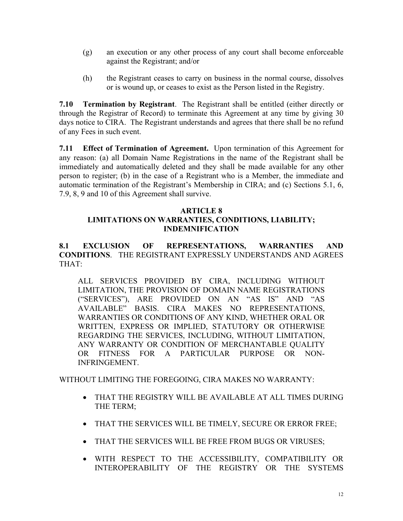- (g) an execution or any other process of any court shall become enforceable against the Registrant; and/or
- (h) the Registrant ceases to carry on business in the normal course, dissolves or is wound up, or ceases to exist as the Person listed in the Registry.

**7.10 Termination by Registrant**. The Registrant shall be entitled (either directly or through the Registrar of Record) to terminate this Agreement at any time by giving 30 days notice to CIRA. The Registrant understands and agrees that there shall be no refund of any Fees in such event.

**7.11 Effect of Termination of Agreement.** Upon termination of this Agreement for any reason: (a) all Domain Name Registrations in the name of the Registrant shall be immediately and automatically deleted and they shall be made available for any other person to register; (b) in the case of a Registrant who is a Member, the immediate and automatic termination of the Registrant's Membership in CIRA; and (c) Sections 5.1, 6, 7.9, 8, 9 and 10 of this Agreement shall survive.

#### **ARTICLE 8**

# **LIMITATIONS ON WARRANTIES, CONDITIONS, LIABILITY; INDEMNIFICATION**

**8.1 EXCLUSION OF REPRESENTATIONS, WARRANTIES AND CONDITIONS**. THE REGISTRANT EXPRESSLY UNDERSTANDS AND AGREES THAT:

ALL SERVICES PROVIDED BY CIRA, INCLUDING WITHOUT LIMITATION, THE PROVISION OF DOMAIN NAME REGISTRATIONS ("SERVICES"), ARE PROVIDED ON AN "AS IS" AND "AS AVAILABLE" BASIS. CIRA MAKES NO REPRESENTATIONS, WARRANTIES OR CONDITIONS OF ANY KIND, WHETHER ORAL OR WRITTEN, EXPRESS OR IMPLIED, STATUTORY OR OTHERWISE REGARDING THE SERVICES, INCLUDING, WITHOUT LIMITATION, ANY WARRANTY OR CONDITION OF MERCHANTABLE QUALITY OR FITNESS FOR A PARTICULAR PURPOSE OR NON-INFRINGEMENT.

WITHOUT LIMITING THE FOREGOING, CIRA MAKES NO WARRANTY:

- THAT THE REGISTRY WILL BE AVAILABLE AT ALL TIMES DURING THE TERM;
- THAT THE SERVICES WILL BE TIMELY, SECURE OR ERROR FREE;
- THAT THE SERVICES WILL BE FREE FROM BUGS OR VIRUSES;
- WITH RESPECT TO THE ACCESSIBILITY, COMPATIBILITY OR INTEROPERABILITY OF THE REGISTRY OR THE SYSTEMS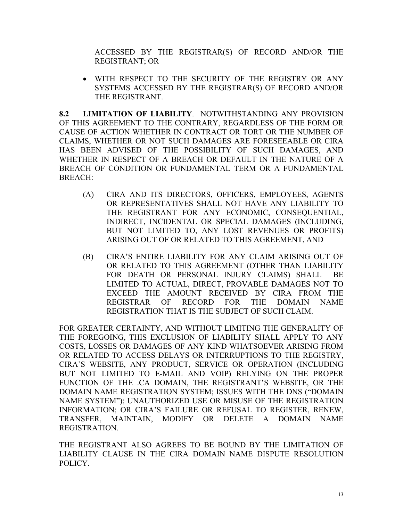ACCESSED BY THE REGISTRAR(S) OF RECORD AND/OR THE REGISTRANT; OR

 WITH RESPECT TO THE SECURITY OF THE REGISTRY OR ANY SYSTEMS ACCESSED BY THE REGISTRAR(S) OF RECORD AND/OR THE REGISTRANT.

**8.2 LIMITATION OF LIABILITY**. NOTWITHSTANDING ANY PROVISION OF THIS AGREEMENT TO THE CONTRARY, REGARDLESS OF THE FORM OR CAUSE OF ACTION WHETHER IN CONTRACT OR TORT OR THE NUMBER OF CLAIMS, WHETHER OR NOT SUCH DAMAGES ARE FORESEEABLE OR CIRA HAS BEEN ADVISED OF THE POSSIBILITY OF SUCH DAMAGES, AND WHETHER IN RESPECT OF A BREACH OR DEFAULT IN THE NATURE OF A BREACH OF CONDITION OR FUNDAMENTAL TERM OR A FUNDAMENTAL BREACH:

- (A) CIRA AND ITS DIRECTORS, OFFICERS, EMPLOYEES, AGENTS OR REPRESENTATIVES SHALL NOT HAVE ANY LIABILITY TO THE REGISTRANT FOR ANY ECONOMIC, CONSEQUENTIAL, INDIRECT, INCIDENTAL OR SPECIAL DAMAGES (INCLUDING, BUT NOT LIMITED TO, ANY LOST REVENUES OR PROFITS) ARISING OUT OF OR RELATED TO THIS AGREEMENT, AND
- (B) CIRA'S ENTIRE LIABILITY FOR ANY CLAIM ARISING OUT OF OR RELATED TO THIS AGREEMENT (OTHER THAN LIABILITY FOR DEATH OR PERSONAL INJURY CLAIMS) SHALL BE LIMITED TO ACTUAL, DIRECT, PROVABLE DAMAGES NOT TO EXCEED THE AMOUNT RECEIVED BY CIRA FROM THE REGISTRAR OF RECORD FOR THE DOMAIN NAME REGISTRATION THAT IS THE SUBJECT OF SUCH CLAIM.

FOR GREATER CERTAINTY, AND WITHOUT LIMITING THE GENERALITY OF THE FOREGOING, THIS EXCLUSION OF LIABILITY SHALL APPLY TO ANY COSTS, LOSSES OR DAMAGES OF ANY KIND WHATSOEVER ARISING FROM OR RELATED TO ACCESS DELAYS OR INTERRUPTIONS TO THE REGISTRY, CIRA'S WEBSITE, ANY PRODUCT, SERVICE OR OPERATION (INCLUDING BUT NOT LIMITED TO E-MAIL AND VOIP) RELYING ON THE PROPER FUNCTION OF THE .CA DOMAIN, THE REGISTRANT'S WEBSITE, OR THE DOMAIN NAME REGISTRATION SYSTEM; ISSUES WITH THE DNS ("DOMAIN NAME SYSTEM"); UNAUTHORIZED USE OR MISUSE OF THE REGISTRATION INFORMATION; OR CIRA'S FAILURE OR REFUSAL TO REGISTER, RENEW, TRANSFER, MAINTAIN, MODIFY OR DELETE A DOMAIN NAME REGISTRATION.

THE REGISTRANT ALSO AGREES TO BE BOUND BY THE LIMITATION OF LIABILITY CLAUSE IN THE CIRA DOMAIN NAME DISPUTE RESOLUTION POLICY.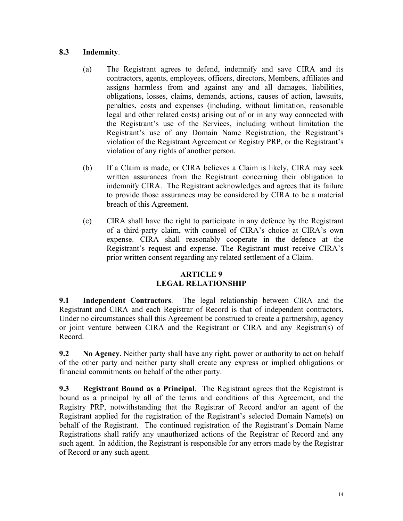## **8.3 Indemnity**.

- (a) The Registrant agrees to defend, indemnify and save CIRA and its contractors, agents, employees, officers, directors, Members, affiliates and assigns harmless from and against any and all damages, liabilities, obligations, losses, claims, demands, actions, causes of action, lawsuits, penalties, costs and expenses (including, without limitation, reasonable legal and other related costs) arising out of or in any way connected with the Registrant's use of the Services, including without limitation the Registrant's use of any Domain Name Registration, the Registrant's violation of the Registrant Agreement or Registry PRP, or the Registrant's violation of any rights of another person.
- (b) If a Claim is made, or CIRA believes a Claim is likely, CIRA may seek written assurances from the Registrant concerning their obligation to indemnify CIRA. The Registrant acknowledges and agrees that its failure to provide those assurances may be considered by CIRA to be a material breach of this Agreement.
- (c) CIRA shall have the right to participate in any defence by the Registrant of a third-party claim, with counsel of CIRA's choice at CIRA's own expense. CIRA shall reasonably cooperate in the defence at the Registrant's request and expense. The Registrant must receive CIRA's prior written consent regarding any related settlement of a Claim.

### **ARTICLE 9 LEGAL RELATIONSHIP**

**9.1 Independent Contractors**. The legal relationship between CIRA and the Registrant and CIRA and each Registrar of Record is that of independent contractors. Under no circumstances shall this Agreement be construed to create a partnership, agency or joint venture between CIRA and the Registrant or CIRA and any Registrar(s) of Record.

**9.2 No Agency**. Neither party shall have any right, power or authority to act on behalf of the other party and neither party shall create any express or implied obligations or financial commitments on behalf of the other party.

**9.3 Registrant Bound as a Principal**. The Registrant agrees that the Registrant is bound as a principal by all of the terms and conditions of this Agreement, and the Registry PRP, notwithstanding that the Registrar of Record and/or an agent of the Registrant applied for the registration of the Registrant's selected Domain Name(s) on behalf of the Registrant. The continued registration of the Registrant's Domain Name Registrations shall ratify any unauthorized actions of the Registrar of Record and any such agent. In addition, the Registrant is responsible for any errors made by the Registrar of Record or any such agent.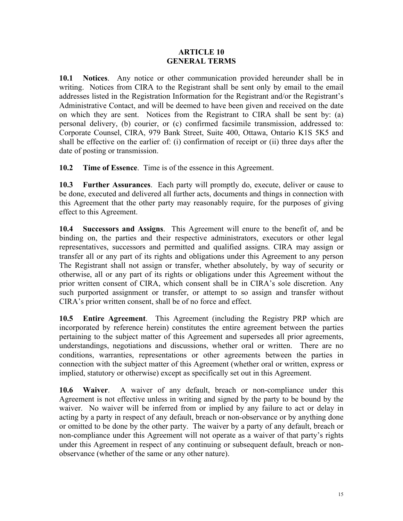#### **ARTICLE 10 GENERAL TERMS**

**10.1 Notices**. Any notice or other communication provided hereunder shall be in writing. Notices from CIRA to the Registrant shall be sent only by email to the email addresses listed in the Registration Information for the Registrant and/or the Registrant's Administrative Contact, and will be deemed to have been given and received on the date on which they are sent. Notices from the Registrant to CIRA shall be sent by: (a) personal delivery, (b) courier, or (c) confirmed facsimile transmission, addressed to: Corporate Counsel, CIRA, 979 Bank Street, Suite 400, Ottawa, Ontario K1S 5K5 and shall be effective on the earlier of: (i) confirmation of receipt or (ii) three days after the date of posting or transmission.

**10.2 Time of Essence**. Time is of the essence in this Agreement.

**10.3 Further Assurances**. Each party will promptly do, execute, deliver or cause to be done, executed and delivered all further acts, documents and things in connection with this Agreement that the other party may reasonably require, for the purposes of giving effect to this Agreement.

**10.4 Successors and Assigns**. This Agreement will enure to the benefit of, and be binding on, the parties and their respective administrators, executors or other legal representatives, successors and permitted and qualified assigns. CIRA may assign or transfer all or any part of its rights and obligations under this Agreement to any person The Registrant shall not assign or transfer, whether absolutely, by way of security or otherwise, all or any part of its rights or obligations under this Agreement without the prior written consent of CIRA, which consent shall be in CIRA's sole discretion. Any such purported assignment or transfer, or attempt to so assign and transfer without CIRA's prior written consent, shall be of no force and effect.

**10.5 Entire Agreement**. This Agreement (including the Registry PRP which are incorporated by reference herein) constitutes the entire agreement between the parties pertaining to the subject matter of this Agreement and supersedes all prior agreements, understandings, negotiations and discussions, whether oral or written. There are no conditions, warranties, representations or other agreements between the parties in connection with the subject matter of this Agreement (whether oral or written, express or implied, statutory or otherwise) except as specifically set out in this Agreement.

**10.6 Waiver**. A waiver of any default, breach or non-compliance under this Agreement is not effective unless in writing and signed by the party to be bound by the waiver. No waiver will be inferred from or implied by any failure to act or delay in acting by a party in respect of any default, breach or non-observance or by anything done or omitted to be done by the other party. The waiver by a party of any default, breach or non-compliance under this Agreement will not operate as a waiver of that party's rights under this Agreement in respect of any continuing or subsequent default, breach or nonobservance (whether of the same or any other nature).